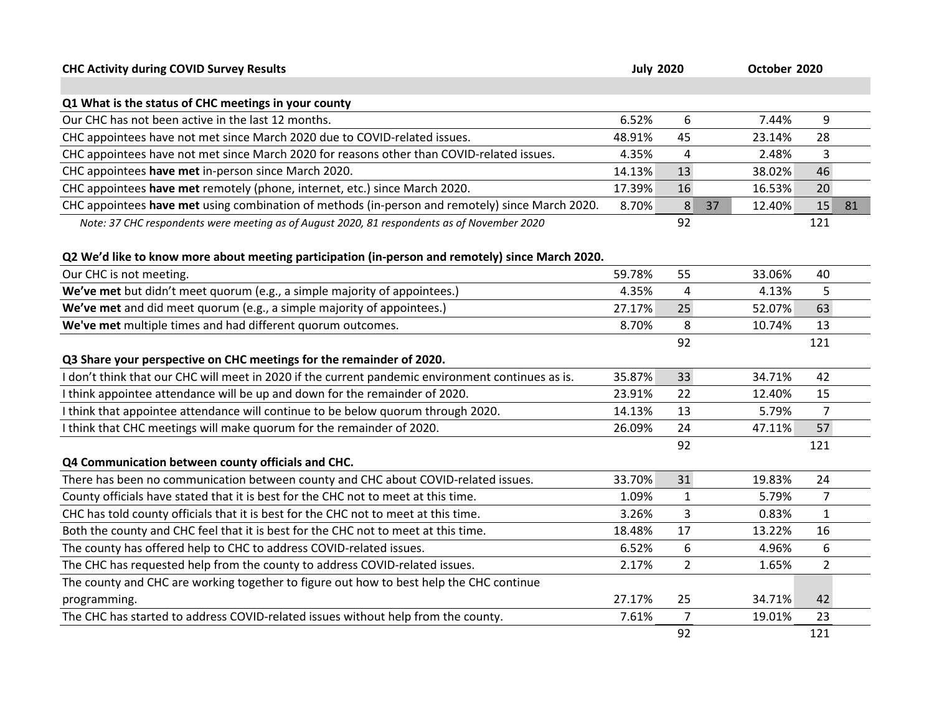| <b>CHC Activity during COVID Survey Results</b>                                                   | <b>July 2020</b> |                |              | October 2020   |    |  |
|---------------------------------------------------------------------------------------------------|------------------|----------------|--------------|----------------|----|--|
| Q1 What is the status of CHC meetings in your county                                              |                  |                |              |                |    |  |
| Our CHC has not been active in the last 12 months.                                                | 6.52%            | 6              | 7.44%        | 9              |    |  |
| CHC appointees have not met since March 2020 due to COVID-related issues.                         | 48.91%           | 45             | 23.14%       | 28             |    |  |
| CHC appointees have not met since March 2020 for reasons other than COVID-related issues.         | 4.35%            | 4              | 2.48%        | 3              |    |  |
| CHC appointees have met in-person since March 2020.                                               | 14.13%           | 13             | 38.02%       | 46             |    |  |
| CHC appointees have met remotely (phone, internet, etc.) since March 2020.                        | 17.39%           | 16             | 16.53%       | 20             |    |  |
| CHC appointees have met using combination of methods (in-person and remotely) since March 2020.   | 8.70%            | 8              | 37<br>12.40% | 15             | 81 |  |
| Note: 37 CHC respondents were meeting as of August 2020, 81 respondents as of November 2020       |                  | 92             |              | 121            |    |  |
| Q2 We'd like to know more about meeting participation (in-person and remotely) since March 2020.  |                  |                |              |                |    |  |
| Our CHC is not meeting.                                                                           | 59.78%           | 55             | 33.06%       | 40             |    |  |
| We've met but didn't meet quorum (e.g., a simple majority of appointees.)                         | 4.35%            | 4              | 4.13%        | 5              |    |  |
| We've met and did meet quorum (e.g., a simple majority of appointees.)                            | 27.17%           | 25             | 52.07%       | 63             |    |  |
| We've met multiple times and had different quorum outcomes.                                       | 8.70%            | 8              | 10.74%       | 13             |    |  |
|                                                                                                   |                  | 92             |              | 121            |    |  |
| Q3 Share your perspective on CHC meetings for the remainder of 2020.                              |                  |                |              |                |    |  |
| I don't think that our CHC will meet in 2020 if the current pandemic environment continues as is. | 35.87%           | 33             | 34.71%       | 42             |    |  |
| I think appointee attendance will be up and down for the remainder of 2020.                       | 23.91%           | 22             | 12.40%       | 15             |    |  |
| I think that appointee attendance will continue to be below quorum through 2020.                  | 14.13%           | 13             | 5.79%        | 7              |    |  |
| I think that CHC meetings will make quorum for the remainder of 2020.                             | 26.09%           | 24             | 47.11%       | 57             |    |  |
|                                                                                                   |                  | 92             |              | 121            |    |  |
| Q4 Communication between county officials and CHC.                                                |                  |                |              |                |    |  |
| There has been no communication between county and CHC about COVID-related issues.                | 33.70%           | 31             | 19.83%       | 24             |    |  |
| County officials have stated that it is best for the CHC not to meet at this time.                | 1.09%            | $\mathbf{1}$   | 5.79%        | $\overline{7}$ |    |  |
| CHC has told county officials that it is best for the CHC not to meet at this time.               | 3.26%            | 3              | 0.83%        | $\mathbf{1}$   |    |  |
| Both the county and CHC feel that it is best for the CHC not to meet at this time.                | 18.48%           | 17             | 13.22%       | 16             |    |  |
| The county has offered help to CHC to address COVID-related issues.                               | 6.52%            | 6              | 4.96%        | 6              |    |  |
| The CHC has requested help from the county to address COVID-related issues.                       | 2.17%            | $\overline{2}$ | 1.65%        | $\overline{2}$ |    |  |
| The county and CHC are working together to figure out how to best help the CHC continue           |                  |                |              |                |    |  |
| programming.                                                                                      | 27.17%           | 25             | 34.71%       | 42             |    |  |
| The CHC has started to address COVID-related issues without help from the county.                 | 7.61%            | $\overline{7}$ | 19.01%       | 23             |    |  |
|                                                                                                   |                  | 92             |              | 121            |    |  |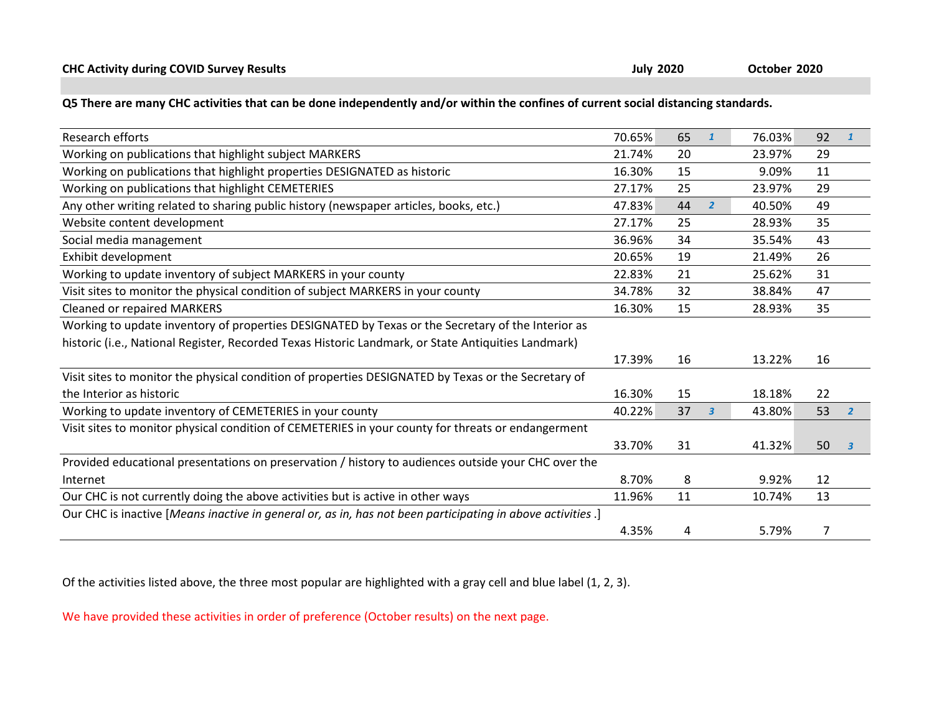| Q5 There are many CHC activities that can be done independently and/or within the confines of current social distancing standards. |  |
|------------------------------------------------------------------------------------------------------------------------------------|--|
|------------------------------------------------------------------------------------------------------------------------------------|--|

| Research efforts                                                                                            | 70.65% | 65 | $\mathbf{1}$   | 76.03% | 92 |                         |
|-------------------------------------------------------------------------------------------------------------|--------|----|----------------|--------|----|-------------------------|
| Working on publications that highlight subject MARKERS                                                      | 21.74% | 20 |                | 23.97% | 29 |                         |
| Working on publications that highlight properties DESIGNATED as historic                                    | 16.30% | 15 |                | 9.09%  | 11 |                         |
| Working on publications that highlight CEMETERIES                                                           | 27.17% | 25 |                | 23.97% | 29 |                         |
| Any other writing related to sharing public history (newspaper articles, books, etc.)                       | 47.83% | 44 | $\overline{2}$ | 40.50% | 49 |                         |
| Website content development                                                                                 | 27.17% | 25 |                | 28.93% | 35 |                         |
| Social media management                                                                                     | 36.96% | 34 |                | 35.54% | 43 |                         |
| Exhibit development                                                                                         | 20.65% | 19 |                | 21.49% | 26 |                         |
| Working to update inventory of subject MARKERS in your county                                               | 22.83% | 21 |                | 25.62% | 31 |                         |
| Visit sites to monitor the physical condition of subject MARKERS in your county                             | 34.78% | 32 |                | 38.84% | 47 |                         |
| <b>Cleaned or repaired MARKERS</b>                                                                          | 16.30% | 15 |                | 28.93% | 35 |                         |
| Working to update inventory of properties DESIGNATED by Texas or the Secretary of the Interior as           |        |    |                |        |    |                         |
| historic (i.e., National Register, Recorded Texas Historic Landmark, or State Antiquities Landmark)         |        |    |                |        |    |                         |
|                                                                                                             | 17.39% | 16 |                | 13.22% | 16 |                         |
| Visit sites to monitor the physical condition of properties DESIGNATED by Texas or the Secretary of         |        |    |                |        |    |                         |
| the Interior as historic                                                                                    | 16.30% | 15 |                | 18.18% | 22 |                         |
| Working to update inventory of CEMETERIES in your county                                                    | 40.22% | 37 | $\overline{3}$ | 43.80% | 53 | $\overline{2}$          |
| Visit sites to monitor physical condition of CEMETERIES in your county for threats or endangerment          |        |    |                |        |    |                         |
|                                                                                                             | 33.70% | 31 |                | 41.32% | 50 | $\overline{\mathbf{3}}$ |
| Provided educational presentations on preservation / history to audiences outside your CHC over the         |        |    |                |        |    |                         |
| Internet                                                                                                    | 8.70%  | 8  |                | 9.92%  | 12 |                         |
| Our CHC is not currently doing the above activities but is active in other ways                             | 11.96% | 11 |                | 10.74% | 13 |                         |
| Our CHC is inactive [Means inactive in general or, as in, has not been participating in above activities .] |        |    |                |        |    |                         |
|                                                                                                             | 4.35%  | 4  |                | 5.79%  | 7  |                         |

Of the activities listed above, the three most popular are highlighted with a gray cell and blue label (1, 2, 3).

We have provided these activities in order of preference (October results) on the next page.